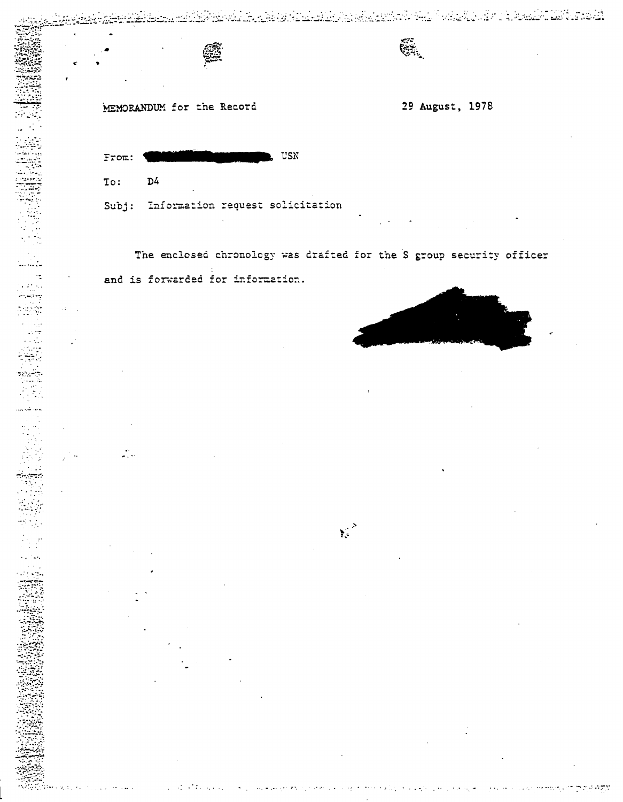MEMORANDUM for the Record

ं प

 $\sim 10^{11}$  km an sala  $\mathcal{L}$ 

 $\bar{\alpha}$ 

 $\mathcal{L}^{\text{max}}$ 

 $\mathcal{L}$  .

 $\mathcal{A}=\mathcal{A}$  and  $\mathcal{A}$ 

 $\mathcal{L}^{\text{max}}$  and  $\mathcal{L}^{\text{max}}$  and  $\mathcal{L}^{\text{max}}$ 

نفثتا لمنتقفتها

29 August, 1978

G.

<u>regularis tu kanada kalendar da terk</u>

لانتقاء والمناط حاب مروسينا الرباني

| From:  | USN<br><u> different alleged av den som ble som av den som av den som av den som av den som av den som av den som av den</u> |  |  |
|--------|------------------------------------------------------------------------------------------------------------------------------|--|--|
| To: D4 |                                                                                                                              |  |  |
|        | Subj: Information request solicitation                                                                                       |  |  |

The enclosed chronology was drafted for the S group security officer and is forwarded for information.

 $\sum_{i=1}^{\infty}$ 

لواري المراقي

 $\mathcal{L}_{\mathcal{F}}$  and  $\mathcal{L}_{\mathcal{F}}$  are the set of  $\mathcal{F}$ 

والوالونية والموارين

سائيل جراح

 $\sim 100$  km s  $^{-1}$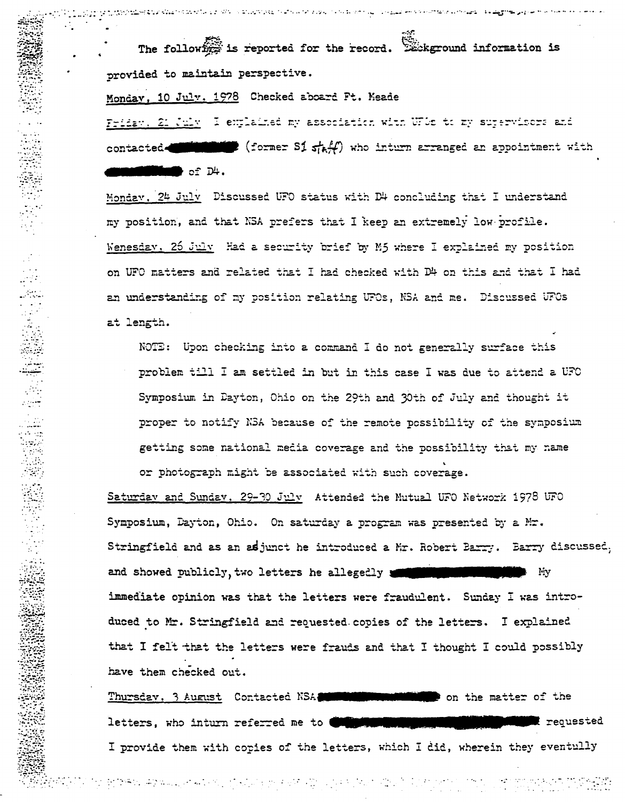The following is reported for the record. Existeround information is provided to maintain perspective.

والمرواح والقاحما والمحافظ فسيرو ومرا

Monday, 10 July, 1978 Checked aboard Ft. Meade

לי המוניינות המוקדם הקדום ניתוחים במקומונים בין המלכות עיצוב להמוקדם במוניינות המוקדם להמוקדם והמוקדם לאור

Friday, 21 July 1 explained my association with WPDs to my supervisors and contacted  $\blacksquare$  (former S1  $\frac{1}{2}$ ) who inturn arranged an appointment with  $\blacksquare$  of  $\mathbb{D}^{\mathbb{L}}$ .

Monday, 24 July Discussed UFO status with D4 concluding that I understand my position, and that NSA prefers that I keep an extremely low profile. Wenesday, 26 July Had a security brief by M5 where I explained my position on UFO matters and related that I had checked with D4 on this and that I had an understanding of my position relating UFOs, NSA and me. Discussed UFOs at length.

NOTE: Upon checking into a command I do not generally surface this problem till I am settled in but in this case I was due to attend a UFO Symposium in Dayton, Ohio on the 29th and 30th of July and thought it proper to notify NBA because of the remote possibility of the symposium getting some national media coverage and the possibility that my name or photograph might be associated with such coverage.

Saturday and Sunday, 29-30 July Attended the Mutual UFO Network 1978 UFO Symposium, Dayton, Ohio. On saturday a program was presented by a Mr. Stringfield and as an adjunct he introduced a Mr. Robert Barry. Barry discussed, and showed publicly, two letters he allegedly l iy immediate opinion was that the letters were fraudulent. Sunday I was introduced to Mr. Stringfield and requested copies of the letters. I explained that I felt that the letters were frauds and that I thought I could possibly have them checked out.

Thursday, 3 August Contacted NSA THEFT on the matter of the t requested letters, who inturn referred me to ( I provide them with copies of the letters, which I did, wherein they eventully

관련하다 주어보고, 2014년에는 100,000 % 30% AT AT 100% AT 2010 AT 2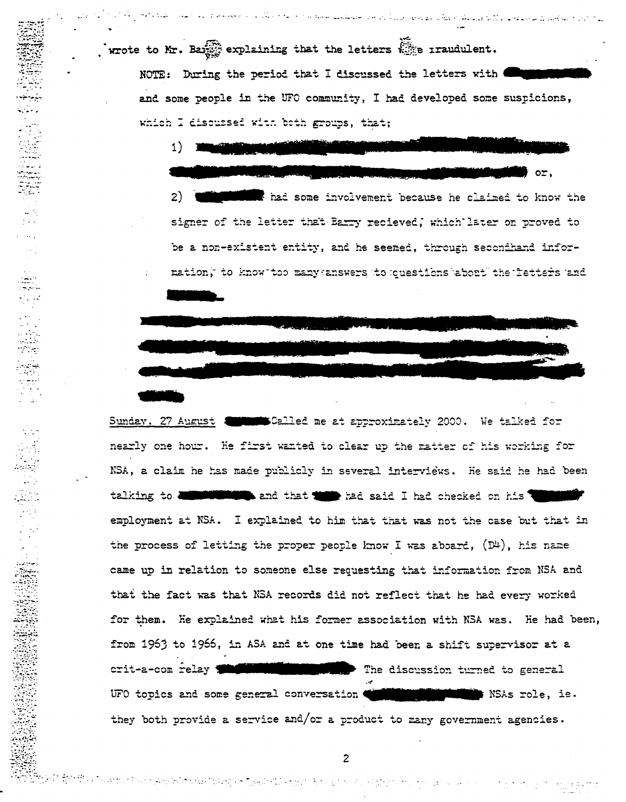wrote to Mr. Bang explaining that the letters  $\mathbb{S}$  randulent. NOTE: During the period that I discussed the letters with **Community** and some people in the UFO community, I had developed some suspicions, which I discussed with both groups, that;

 $1)$ 

فالارداد للمؤسل فالمتفعل بالأبلاق فلقف فهأنا مهجعة الازراء كالمتعشقي سمعاما داما فدفد مكانيت المعججة المددسج الفيدية

or. the back some involvement because he claimed to know the  $2)$ signer of the letter that Barry recieved, which later on proved to be a non-existent entity, and he seemed, through secondhand information, to know too many answers to questions about the letters and

Sunday, 27 August William Selled me at approximately 2000. We talked for nearly one hour. He first wanted to clear up the matter of his working for NSA, a claim he has made publicly in several interviews. He said he had been talking to **diminishing** and that the had said I had checked on his will employment at NSA. I explained to him that that was not the case but that in the process of letting the proper people know I was aboard,  $(D^{\mu})$ , his name came up in relation to someone else requesting that information from NSA and that the fact was that NSA records did not reflect that he had every worked for them. He explained what his former association with NSA was. He had been, from 1963 to 1966, in ASA and at one time had been a shift supervisor at a crit-a-com relay **The Millet Milleton and The discussion turned to general** UFO topics and some general conversation with the solution NSAs role, ie. they both provide a service and/or a product to many government agencies.

n attaut for de Romania fara fintanya mitjandra fintanya mitjang pangangangan sa perang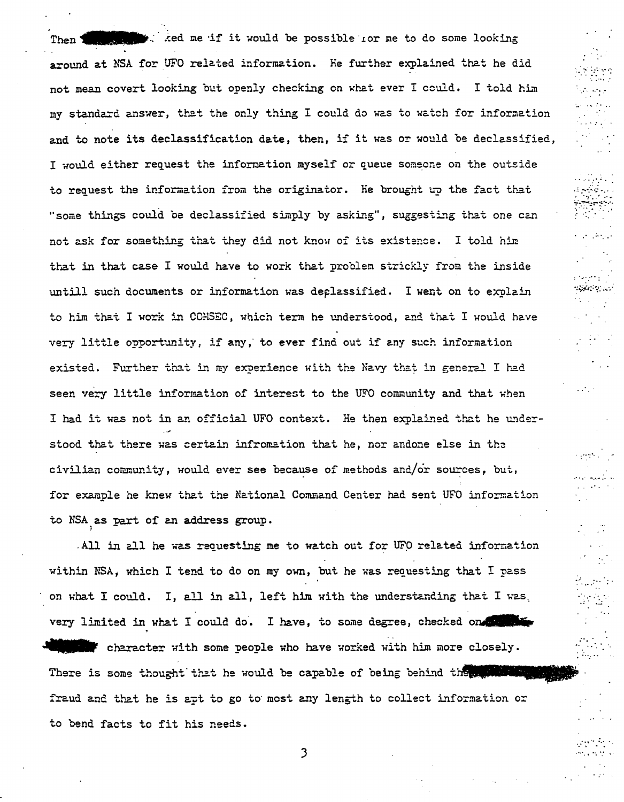Then **III.es also as it it would be possible** for me to do some looking around at NSA for UFO related information. He further explained that he did not mean covert looking but openly checking en ~hat ever I could. I told him my standard answer, that the only thing I could do was to watch for information and to note its declassification date, then, if it was or would be declassified, I would either request the information myself or queue someone on the outside to request the information from the originator. He brought up the fact that "some things could be declassified simply by asking", suggesting that one can not ask for something that they did not know of its existence. I told him that in that case I would have to work that problem strickly from the inside untill such documents or information was deplassified. I went on to explain to him that I work in COMSEC, which term he understood, and that I would have very little opportunity, if any, to ever find out if any such information existed. Further that in my experience with the Navy that in general I had seen very little information of interest to the UFO community and that when I had it was not in an official UFO context. He then explained that he understood that there was certain infromation that he, nor andone else in the civilian community, would ever see because of methods and/or sources, but, for example he knew that the National Command Center had sent UFO information to NSA as part of an address group •

 $\cdot$  .  $\cdot$   $\cdot$   $\cdot$   $\cdot$  $\mathcal{L}^{\mathcal{L}}$  .  $\mathcal{L}^{\mathcal{L}}$  .  $\mathcal{L}^{\mathcal{L}}$ 

............ . : ;··>··:.· .... . . • *··:· .. '* .. ..  $~\frac{1}{2}$  $\cdot$ 

: .... .-·.

<sup>~</sup>.... *:* . . *:* .

..,·· ·.·. ···· .. ··. *·:* \

. All in all he was requesting me to watch out for *UFp* related inforffiation within NSA, which I tend to do on my own, but he was requesting that I pass on what I could. I, all in all, left him with the understanding that I was. on what I could. I, all in all, left him with the understanding that I was.<br>very limited in what I could do. I have, to some degree, checked on the some Jully character with some people who have worked with him more closely. very limited in what I could do. I have, to some degree, checked on the state of the character with some people who have worked with him more closely. fraud and that he is apt to go to most any length to collect information or to bend facts to fit his needs.

3